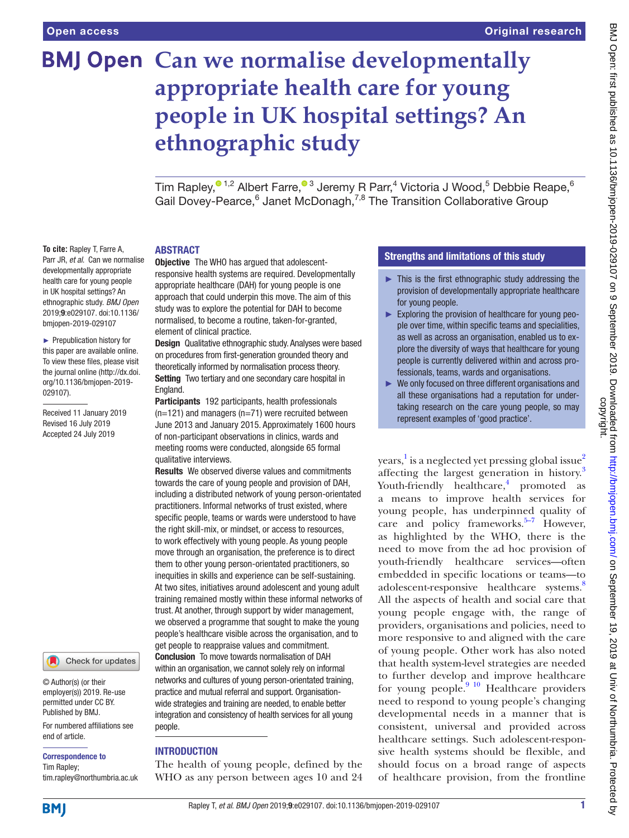**To cite:** Rapley T, Farre A, Parr JR, *et al*. Can we normalise developmentally appropriate health care for young people in UK hospital settings? An ethnographic study. *BMJ Open* 2019;9:e029107. doi:10.1136/ bmjopen-2019-029107 ► Prepublication history for this paper are available online. To view these files, please visit the journal online [\(http://dx.doi.](http://dx.doi.org/10.1136/bmjopen-2018-018426).) [org/10.1136/bmjopen-2019-](http://dx.doi.org/10.1136/bmjopen-2018-018426).)

[029107\)](http://dx.doi.org/10.1136/bmjopen-2018-018426).).

Received 11 January 2019 Revised 16 July 2019 Accepted 24 July 2019

# **BMJ Open Can we normalise developmentally appropriate health care for young people in UK hospital settings? An ethnographic study**

Tim Rapley[,](http://orcid.org/0000-0003-4836-4279) $^{\circ}$  1,2 Albert Farre, $^{\circ}$ 3 Jeremy R Parr, $^4$  Victoria J Wood, $^5$  Debbie Reape, $^6$ Gail Dovey-Pearce,<sup>6</sup> Janet McDonagh,<sup>7,8</sup> The Transition Collaborative Group

#### ABSTRACT

Objective The WHO has argued that adolescentresponsive health systems are required. Developmentally appropriate healthcare (DAH) for young people is one approach that could underpin this move. The aim of this study was to explore the potential for DAH to become normalised, to become a routine, taken-for-granted, element of clinical practice.

Design Qualitative ethnographic study. Analyses were based on procedures from first-generation grounded theory and theoretically informed by normalisation process theory. Setting Two tertiary and one secondary care hospital in England.

Participants 192 participants, health professionals  $(n=121)$  and managers  $(n=71)$  were recruited between June 2013 and January 2015. Approximately 1600 hours of non-participant observations in clinics, wards and meeting rooms were conducted, alongside 65 formal qualitative interviews.

Results We observed diverse values and commitments towards the care of young people and provision of DAH, including a distributed network of young person-orientated practitioners. Informal networks of trust existed, where specific people, teams or wards were understood to have the right skill-mix, or mindset, or access to resources, to work effectively with young people. As young people move through an organisation, the preference is to direct them to other young person-orientated practitioners, so inequities in skills and experience can be self-sustaining. At two sites, initiatives around adolescent and young adult training remained mostly within these informal networks of trust. At another, through support by wider management, we observed a programme that sought to make the young people's healthcare visible across the organisation, and to get people to reappraise values and commitment. Conclusion To move towards normalisation of DAH within an organisation, we cannot solely rely on informal networks and cultures of young person-orientated training, practice and mutual referral and support. Organisationwide strategies and training are needed, to enable better integration and consistency of health services for all young

#### **INTRODUCTION**

people.

The health of young people, defined by the WHO as any person between ages 10 and 24

### Strengths and limitations of this study

- ► This is the first ethnographic study addressing the provision of developmentally appropriate healthcare for young people.
- ► Exploring the provision of healthcare for young people over time, within specific teams and specialities, as well as across an organisation, enabled us to explore the diversity of ways that healthcare for young people is currently delivered within and across professionals, teams, wards and organisations.
- ► We only focused on three different organisations and all these organisations had a reputation for undertaking research on the care young people, so may represent examples of 'good practice'.

years, $^{\rm l}$  is a neglected yet pressing global issue $^{\rm 2}$ affecting the largest generation in history.[3](#page-7-2) Youth-friendly healthcare,<sup>[4](#page-7-3)</sup> promoted as a means to improve health services for young people, has underpinned quality of care and policy frameworks. $5-7$  However, as highlighted by the WHO, there is the need to move from the ad hoc provision of youth-friendly healthcare services—often embedded in specific locations or teams—to adolescent-responsive healthcare systems.<sup>8</sup> All the aspects of health and social care that young people engage with, the range of providers, organisations and policies, need to more responsive to and aligned with the care of young people. Other work has also noted that health system-level strategies are needed to further develop and improve healthcare for young people.<sup>9 10</sup> Healthcare providers need to respond to young people's changing developmental needs in a manner that is consistent, universal and provided across healthcare settings. Such adolescent-responsive health systems should be flexible, and should focus on a broad range of aspects of healthcare provision, from the frontline

#### For numbered affiliations see end of article. Published by BMJ.

© Author(s) (or their employer(s)) 2019. Re-use permitted under CC BY.

Check for updates

Correspondence to

Tim Rapley; tim.rapley@northumbria.ac.uk

**BMI**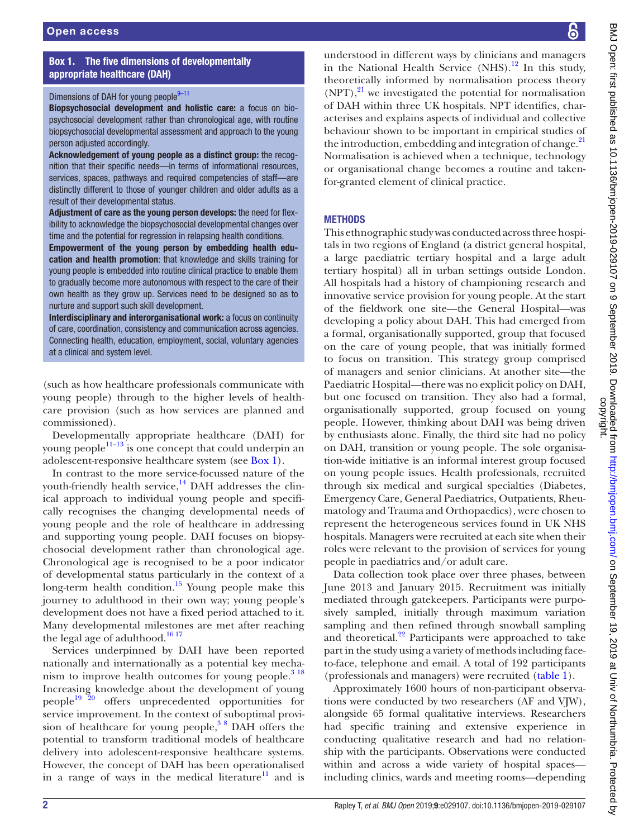#### Box 1. The five dimensions of developmentally appropriate healthcare (DAH)

#### <span id="page-1-0"></span>Dimensions of DAH for young people $9-11$

Biopsychosocial development and holistic care: a focus on biopsychosocial development rather than chronological age, with routine biopsychosocial developmental assessment and approach to the young person adjusted accordingly.

Acknowledgement of young people as a distinct group: the recognition that their specific needs—in terms of informational resources, services, spaces, pathways and required competencies of staff—are distinctly different to those of younger children and older adults as a result of their developmental status.

Adjustment of care as the young person develops: the need for flexibility to acknowledge the biopsychosocial developmental changes over time and the potential for regression in relapsing health conditions.

Empowerment of the young person by embedding health education and health promotion: that knowledge and skills training for young people is embedded into routine clinical practice to enable them to gradually become more autonomous with respect to the care of their own health as they grow up. Services need to be designed so as to nurture and support such skill development.

Interdisciplinary and interorganisational work: a focus on continuity of care, coordination, consistency and communication across agencies. Connecting health, education, employment, social, voluntary agencies at a clinical and system level.

(such as how healthcare professionals communicate with young people) through to the higher levels of healthcare provision (such as how services are planned and commissioned).

Developmentally appropriate healthcare (DAH) for young people $11-13$  is one concept that could underpin an adolescent-responsive healthcare system (see [Box](#page-1-0) 1).

In contrast to the more service-focussed nature of the youth-friendly health service, $14$  DAH addresses the clinical approach to individual young people and specifically recognises the changing developmental needs of young people and the role of healthcare in addressing and supporting young people. DAH focuses on biopsychosocial development rather than chronological age. Chronological age is recognised to be a poor indicator of developmental status particularly in the context of a long-term health condition.<sup>15</sup> Young people make this journey to adulthood in their own way; young people's development does not have a fixed period attached to it. Many developmental milestones are met after reaching the legal age of adulthood.<sup>1617</sup>

Services underpinned by DAH have been reported nationally and internationally as a potential key mechanism to improve health outcomes for young people. $318$ Increasing knowledge about the development of young people<sup>[19 20](#page-7-11)</sup> offers unprecedented opportunities for service improvement. In the context of suboptimal provision of healthcare for young people,  $38$  DAH offers the potential to transform traditional models of healthcare delivery into adolescent-responsive healthcare systems. However, the concept of DAH has been operationalised in a range of ways in the medical literature<sup>11</sup> and is

understood in different ways by clinicians and managers in the National Health Service (NHS).<sup>[12](#page-7-12)</sup> In this study, theoretically informed by normalisation process theory  $(NPT)$ ,<sup>[21](#page-7-13)</sup> we investigated the potential for normalisation of DAH within three UK hospitals. NPT identifies, characterises and explains aspects of individual and collective behaviour shown to be important in empirical studies of the introduction, embedding and integration of change.<sup>[21](#page-7-13)</sup> Normalisation is achieved when a technique, technology or organisational change becomes a routine and takenfor-granted element of clinical practice.

#### **METHODS**

This ethnographic study was conducted across three hospitals in two regions of England (a district general hospital, a large paediatric tertiary hospital and a large adult tertiary hospital) all in urban settings outside London. All hospitals had a history of championing research and innovative service provision for young people. At the start of the fieldwork one site—the General Hospital—was developing a policy about DAH. This had emerged from a formal, organisationally supported, group that focused on the care of young people, that was initially formed to focus on transition. This strategy group comprised of managers and senior clinicians. At another site—the Paediatric Hospital—there was no explicit policy on DAH, but one focused on transition. They also had a formal, organisationally supported, group focused on young people. However, thinking about DAH was being driven by enthusiasts alone. Finally, the third site had no policy on DAH, transition or young people. The sole organisation-wide initiative is an informal interest group focused on young people issues. Health professionals, recruited through six medical and surgical specialties (Diabetes, Emergency Care, General Paediatrics, Outpatients, Rheumatology and Trauma and Orthopaedics), were chosen to represent the heterogeneous services found in UK NHS hospitals. Managers were recruited at each site when their roles were relevant to the provision of services for young people in paediatrics and/or adult care.

Data collection took place over three phases, between June 2013 and January 2015. Recruitment was initially mediated through gatekeepers. Participants were purposively sampled, initially through maximum variation sampling and then refined through snowball sampling and theoretical. $^{22}$  Participants were approached to take part in the study using a variety of methods including faceto-face, telephone and email. A total of 192 participants (professionals and managers) were recruited ([table](#page-2-0) 1).

Approximately 1600 hours of non-participant observations were conducted by two researchers (AF and VJW), alongside 65 formal qualitative interviews. Researchers had specific training and extensive experience in conducting qualitative research and had no relationship with the participants. Observations were conducted within and across a wide variety of hospital spaces including clinics, wards and meeting rooms—depending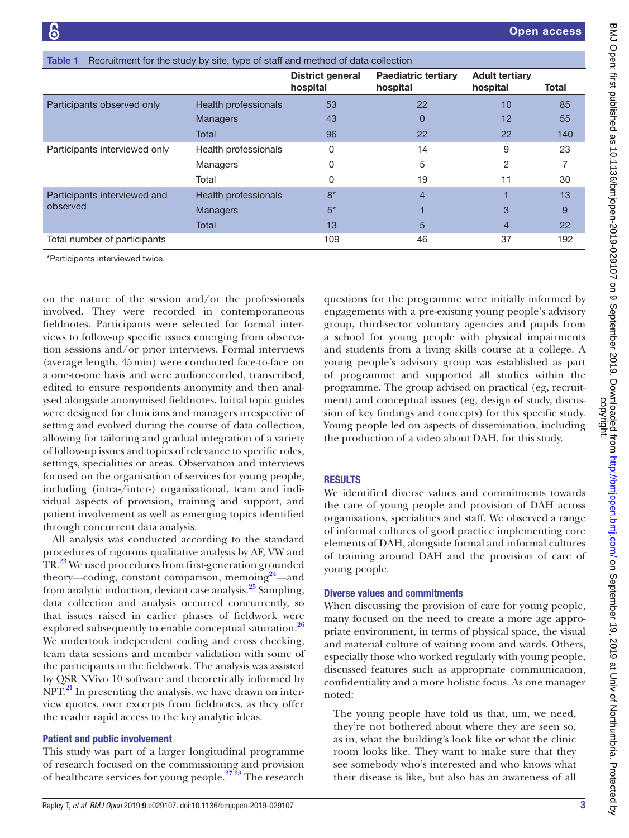<span id="page-2-0"></span>

| Recruitment for the study by site, type of staff and method of data collection<br>Table 1 |                             |                                     |                                        |                                   |       |  |
|-------------------------------------------------------------------------------------------|-----------------------------|-------------------------------------|----------------------------------------|-----------------------------------|-------|--|
|                                                                                           |                             | <b>District general</b><br>hospital | <b>Paediatric tertiary</b><br>hospital | <b>Adult tertiary</b><br>hospital | Total |  |
| Participants observed only                                                                | Health professionals        | 53                                  | 22                                     | 10                                | 85    |  |
|                                                                                           | Managers                    | 43                                  | 0                                      | 12                                | 55    |  |
|                                                                                           | Total                       | 96                                  | 22                                     | 22                                | 140   |  |
| Participants interviewed only                                                             | Health professionals        | 0                                   | 14                                     | 9                                 | 23    |  |
|                                                                                           | Managers                    | 0                                   | 5                                      | 2                                 |       |  |
|                                                                                           | Total                       | 0                                   | 19                                     | 11                                | 30    |  |
| Participants interviewed and<br>observed                                                  | <b>Health professionals</b> | $8*$                                | $\overline{4}$                         |                                   | 13    |  |
|                                                                                           | Managers                    | $5^*$                               |                                        | 3                                 | 9     |  |
|                                                                                           | Total                       | 13                                  | 5                                      | 4                                 | 22    |  |
| Total number of participants                                                              |                             | 109                                 | 46                                     | 37                                | 192   |  |
| *Participants interviewed twice.                                                          |                             |                                     |                                        |                                   |       |  |

on the nature of the session and/or the professionals involved. They were recorded in contemporaneous fieldnotes. Participants were selected for formal interviews to follow-up specific issues emerging from observation sessions and/or prior interviews. Formal interviews (average length, 45min) were conducted face-to-face on a one-to-one basis and were audiorecorded, transcribed, edited to ensure respondents anonymity and then analysed alongside anonymised fieldnotes. Initial topic guides were designed for clinicians and managers irrespective of setting and evolved during the course of data collection, allowing for tailoring and gradual integration of a variety of follow-up issues and topics of relevance to specific roles, settings, specialities or areas. Observation and interviews focused on the organisation of services for young people, including (intra-/inter-) organisational, team and individual aspects of provision, training and support, and patient involvement as well as emerging topics identified through concurrent data analysis.

All analysis was conducted according to the standard procedures of rigorous qualitative analysis by AF, VW and TR.<sup>23</sup> We used procedures from first-generation grounded theory—coding, constant comparison, memoing<sup>24</sup>—and from analytic induction, deviant case analysis. $^{25}$  Sampling, data collection and analysis occurred concurrently, so that issues raised in earlier phases of fieldwork were explored subsequently to enable conceptual saturation.<sup>26</sup> We undertook independent coding and cross checking, team data sessions and member validation with some of the participants in the fieldwork. The analysis was assisted by QSR NVivo 10 software and theoretically informed by  $NPT<sup>21</sup>$  In presenting the analysis, we have drawn on interview quotes, over excerpts from fieldnotes, as they offer the reader rapid access to the key analytic ideas.

#### Patient and public involvement

This study was part of a larger longitudinal programme of research focused on the commissioning and provision of healthcare services for young people.<sup>2728</sup> The research

questions for the programme were initially informed by engagements with a pre-existing young people's advisory group, third-sector voluntary agencies and pupils from a school for young people with physical impairments and students from a living skills course at a college. A young people's advisory group was established as part of programme and supported all studies within the programme. The group advised on practical (eg, recruitment) and conceptual issues (eg, design of study, discussion of key findings and concepts) for this specific study. Young people led on aspects of dissemination, including the production of a video about DAH, for this study.

#### **RESULTS**

We identified diverse values and commitments towards the care of young people and provision of DAH across organisations, specialities and staff. We observed a range of informal cultures of good practice implementing core elements of DAH, alongside formal and informal cultures of training around DAH and the provision of care of young people.

#### Diverse values and commitments

When discussing the provision of care for young people, many focused on the need to create a more age appropriate environment, in terms of physical space, the visual and material culture of waiting room and wards. Others, especially those who worked regularly with young people, discussed features such as appropriate communication, confidentiality and a more holistic focus. As one manager noted:

The young people have told us that, um, we need, they're not bothered about where they are seen so, as in, what the building's look like or what the clinic room looks like. They want to make sure that they see somebody who's interested and who knows what their disease is like, but also has an awareness of all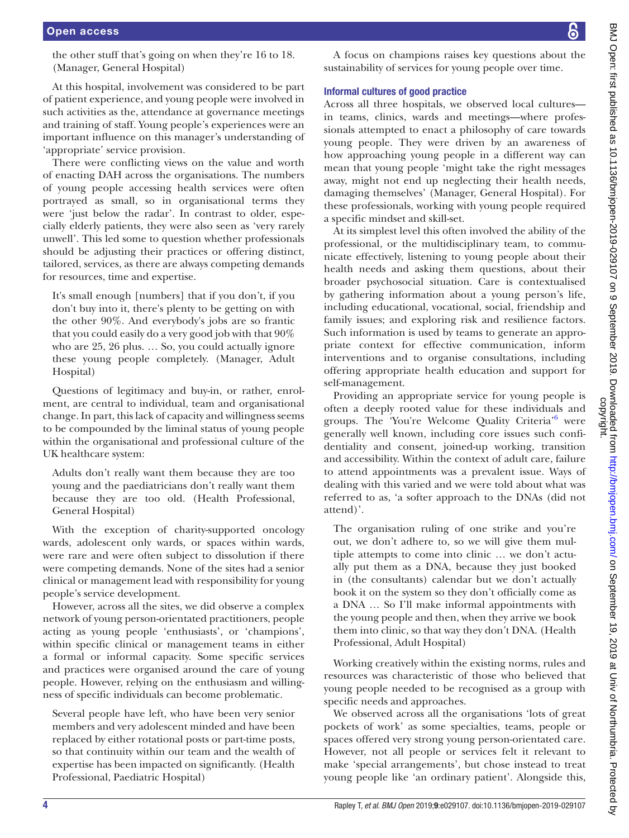the other stuff that's going on when they're 16 to 18. (Manager, General Hospital)

At this hospital, involvement was considered to be part of patient experience, and young people were involved in such activities as the, attendance at governance meetings and training of staff. Young people's experiences were an important influence on this manager's understanding of 'appropriate' service provision.

There were conflicting views on the value and worth of enacting DAH across the organisations. The numbers of young people accessing health services were often portrayed as small, so in organisational terms they were 'just below the radar'. In contrast to older, especially elderly patients, they were also seen as 'very rarely unwell'. This led some to question whether professionals should be adjusting their practices or offering distinct, tailored, services, as there are always competing demands for resources, time and expertise.

It's small enough [numbers] that if you don't, if you don't buy into it, there's plenty to be getting on with the other 90%. And everybody's jobs are so frantic that you could easily do a very good job with that 90% who are 25, 26 plus. … So, you could actually ignore these young people completely. (Manager, Adult Hospital)

Questions of legitimacy and buy-in, or rather, enrolment, are central to individual, team and organisational change. In part, this lack of capacity and willingness seems to be compounded by the liminal status of young people within the organisational and professional culture of the UK healthcare system:

Adults don't really want them because they are too young and the paediatricians don't really want them because they are too old. (Health Professional, General Hospital)

With the exception of charity-supported oncology wards, adolescent only wards, or spaces within wards, were rare and were often subject to dissolution if there were competing demands. None of the sites had a senior clinical or management lead with responsibility for young people's service development.

However, across all the sites, we did observe a complex network of young person-orientated practitioners, people acting as young people 'enthusiasts', or 'champions', within specific clinical or management teams in either a formal or informal capacity. Some specific services and practices were organised around the care of young people. However, relying on the enthusiasm and willingness of specific individuals can become problematic.

Several people have left, who have been very senior members and very adolescent minded and have been replaced by either rotational posts or part-time posts, so that continuity within our team and the wealth of expertise has been impacted on significantly. (Health Professional, Paediatric Hospital)

A focus on champions raises key questions about the sustainability of services for young people over time.

# Informal cultures of good practice

Across all three hospitals, we observed local cultures in teams, clinics, wards and meetings—where professionals attempted to enact a philosophy of care towards young people. They were driven by an awareness of how approaching young people in a different way can mean that young people 'might take the right messages away, might not end up neglecting their health needs, damaging themselves' (Manager, General Hospital). For these professionals, working with young people required a specific mindset and skill-set.

At its simplest level this often involved the ability of the professional, or the multidisciplinary team, to communicate effectively, listening to young people about their health needs and asking them questions, about their broader psychosocial situation. Care is contextualised by gathering information about a young person's life, including educational, vocational, social, friendship and family issues; and exploring risk and resilience factors. Such information is used by teams to generate an appropriate context for effective communication, inform interventions and to organise consultations, including offering appropriate health education and support for self-management.

Providing an appropriate service for young people is often a deeply rooted value for these individuals and groups. The 'You're Welcome Quality Criteria'[6](#page-7-14) were generally well known, including core issues such confidentiality and consent, joined-up working, transition and accessibility. Within the context of adult care, failure to attend appointments was a prevalent issue. Ways of dealing with this varied and we were told about what was referred to as, 'a softer approach to the DNAs (did not attend)'.

The organisation ruling of one strike and you're out, we don't adhere to, so we will give them multiple attempts to come into clinic … we don't actually put them as a DNA, because they just booked in (the consultants) calendar but we don't actually book it on the system so they don't officially come as a DNA … So I'll make informal appointments with the young people and then, when they arrive we book them into clinic, so that way they don't DNA. (Health Professional, Adult Hospital)

Working creatively within the existing norms, rules and resources was characteristic of those who believed that young people needed to be recognised as a group with specific needs and approaches.

We observed across all the organisations 'lots of great pockets of work' as some specialties, teams, people or spaces offered very strong young person-orientated care. However, not all people or services felt it relevant to make 'special arrangements', but chose instead to treat young people like 'an ordinary patient'. Alongside this,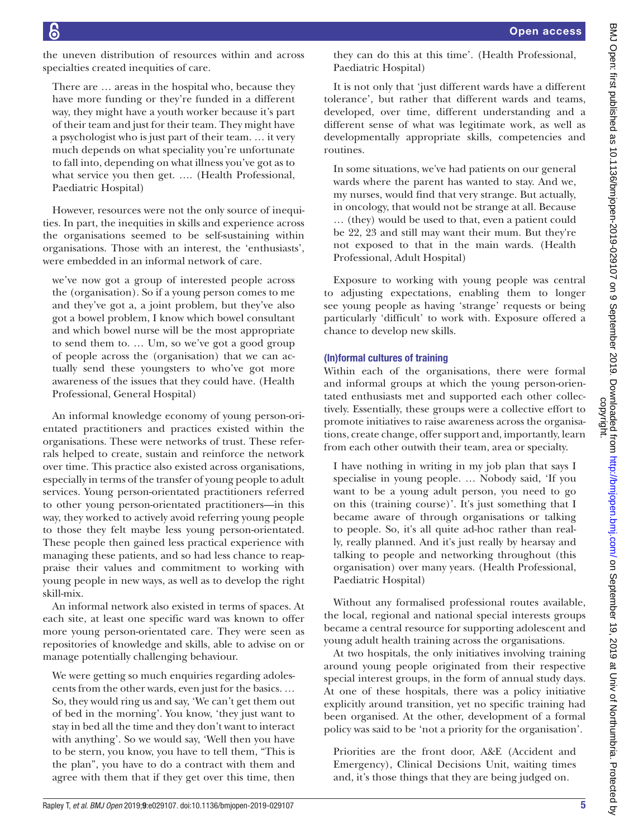the uneven distribution of resources within and across specialties created inequities of care.

There are … areas in the hospital who, because they have more funding or they're funded in a different way, they might have a youth worker because it's part of their team and just for their team. They might have a psychologist who is just part of their team. … it very much depends on what speciality you're unfortunate to fall into, depending on what illness you've got as to what service you then get. …. (Health Professional, Paediatric Hospital)

However, resources were not the only source of inequities. In part, the inequities in skills and experience across the organisations seemed to be self-sustaining within organisations. Those with an interest, the 'enthusiasts', were embedded in an informal network of care.

we've now got a group of interested people across the (organisation). So if a young person comes to me and they've got a, a joint problem, but they've also got a bowel problem, I know which bowel consultant and which bowel nurse will be the most appropriate to send them to. … Um, so we've got a good group of people across the (organisation) that we can actually send these youngsters to who've got more awareness of the issues that they could have. (Health Professional, General Hospital)

An informal knowledge economy of young person-orientated practitioners and practices existed within the organisations. These were networks of trust. These referrals helped to create, sustain and reinforce the network over time. This practice also existed across organisations, especially in terms of the transfer of young people to adult services. Young person-orientated practitioners referred to other young person-orientated practitioners—in this way, they worked to actively avoid referring young people to those they felt maybe less young person-orientated. These people then gained less practical experience with managing these patients, and so had less chance to reappraise their values and commitment to working with young people in new ways, as well as to develop the right skill-mix.

An informal network also existed in terms of spaces. At each site, at least one specific ward was known to offer more young person-orientated care. They were seen as repositories of knowledge and skills, able to advise on or manage potentially challenging behaviour.

We were getting so much enquiries regarding adolescents from the other wards, even just for the basics. … So, they would ring us and say, 'We can't get them out of bed in the morning'. You know, 'they just want to stay in bed all the time and they don't want to interact with anything'. So we would say, 'Well then you have to be stern, you know, you have to tell them, "This is the plan", you have to do a contract with them and agree with them that if they get over this time, then

they can do this at this time'. (Health Professional, Paediatric Hospital)

It is not only that 'just different wards have a different tolerance', but rather that different wards and teams, developed, over time, different understanding and a different sense of what was legitimate work, as well as developmentally appropriate skills, competencies and routines.

In some situations, we've had patients on our general wards where the parent has wanted to stay. And we, my nurses, would find that very strange. But actually, in oncology, that would not be strange at all. Because … (they) would be used to that, even a patient could be 22, 23 and still may want their mum. But they're not exposed to that in the main wards. (Health Professional, Adult Hospital)

Exposure to working with young people was central to adjusting expectations, enabling them to longer see young people as having 'strange' requests or being particularly 'difficult' to work with. Exposure offered a chance to develop new skills.

## (In)formal cultures of training

Within each of the organisations, there were formal and informal groups at which the young person-orientated enthusiasts met and supported each other collectively. Essentially, these groups were a collective effort to promote initiatives to raise awareness across the organisations, create change, offer support and, importantly, learn from each other outwith their team, area or specialty.

I have nothing in writing in my job plan that says I specialise in young people. … Nobody said, 'If you want to be a young adult person, you need to go on this (training course)'. It's just something that I became aware of through organisations or talking to people. So, it's all quite ad-hoc rather than really, really planned. And it's just really by hearsay and talking to people and networking throughout (this organisation) over many years. (Health Professional, Paediatric Hospital)

Without any formalised professional routes available, the local, regional and national special interests groups became a central resource for supporting adolescent and young adult health training across the organisations.

At two hospitals, the only initiatives involving training around young people originated from their respective special interest groups, in the form of annual study days. At one of these hospitals, there was a policy initiative explicitly around transition, yet no specific training had been organised. At the other, development of a formal policy was said to be 'not a priority for the organisation'.

Priorities are the front door, A&E (Accident and Emergency), Clinical Decisions Unit, waiting times and, it's those things that they are being judged on.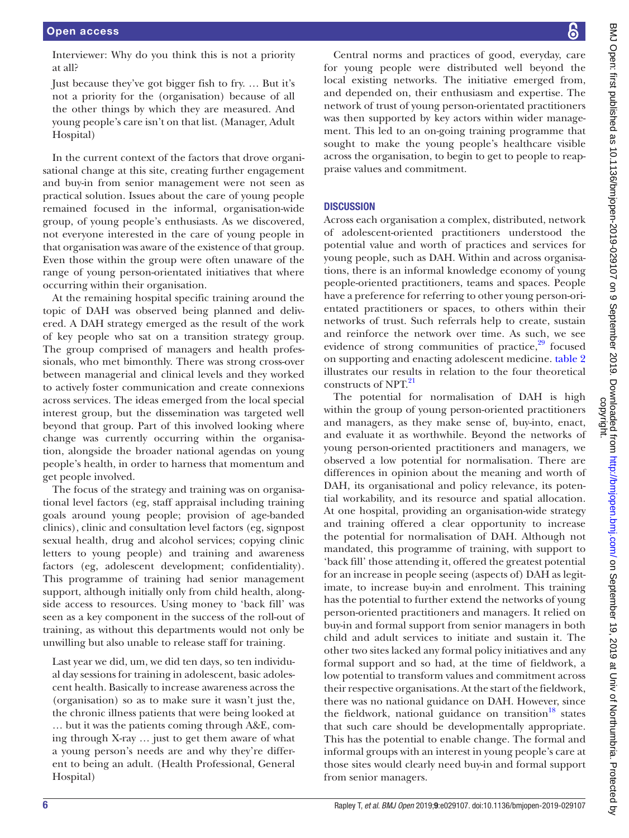Interviewer: Why do you think this is not a priority at all?

Just because they've got bigger fish to fry. … But it's not a priority for the (organisation) because of all the other things by which they are measured. And young people's care isn't on that list. (Manager, Adult Hospital)

In the current context of the factors that drove organisational change at this site, creating further engagement and buy-in from senior management were not seen as practical solution. Issues about the care of young people remained focused in the informal, organisation-wide group, of young people's enthusiasts. As we discovered, not everyone interested in the care of young people in that organisation was aware of the existence of that group. Even those within the group were often unaware of the range of young person-orientated initiatives that where occurring within their organisation.

At the remaining hospital specific training around the topic of DAH was observed being planned and delivered. A DAH strategy emerged as the result of the work of key people who sat on a transition strategy group. The group comprised of managers and health professionals, who met bimonthly. There was strong cross-over between managerial and clinical levels and they worked to actively foster communication and create connexions across services. The ideas emerged from the local special interest group, but the dissemination was targeted well beyond that group. Part of this involved looking where change was currently occurring within the organisation, alongside the broader national agendas on young people's health, in order to harness that momentum and get people involved.

The focus of the strategy and training was on organisational level factors (eg, staff appraisal including training goals around young people; provision of age-banded clinics), clinic and consultation level factors (eg, signpost sexual health, drug and alcohol services; copying clinic letters to young people) and training and awareness factors (eg, adolescent development; confidentiality). This programme of training had senior management support, although initially only from child health, alongside access to resources. Using money to 'back fill' was seen as a key component in the success of the roll-out of training, as without this departments would not only be unwilling but also unable to release staff for training.

Last year we did, um, we did ten days, so ten individual day sessions for training in adolescent, basic adolescent health. Basically to increase awareness across the (organisation) so as to make sure it wasn't just the, the chronic illness patients that were being looked at … but it was the patients coming through A&E, coming through X-ray … just to get them aware of what a young person's needs are and why they're different to being an adult. (Health Professional, General Hospital)

Central norms and practices of good, everyday, care for young people were distributed well beyond the local existing networks. The initiative emerged from, and depended on, their enthusiasm and expertise. The network of trust of young person-orientated practitioners was then supported by key actors within wider management. This led to an on-going training programme that sought to make the young people's healthcare visible across the organisation, to begin to get to people to reappraise values and commitment.

### **DISCUSSION**

Across each organisation a complex, distributed, network of adolescent-oriented practitioners understood the potential value and worth of practices and services for young people, such as DAH. Within and across organisations, there is an informal knowledge economy of young people-oriented practitioners, teams and spaces. People have a preference for referring to other young person-orientated practitioners or spaces, to others within their networks of trust. Such referrals help to create, sustain and reinforce the network over time. As such, we see evidence of strong communities of practice, $29$  focused on supporting and enacting adolescent medicine. [table](#page-6-0) 2 illustrates our results in relation to the four theoretical constructs of NPT.<sup>[21](#page-7-13)</sup>

The potential for normalisation of DAH is high within the group of young person-oriented practitioners and managers, as they make sense of, buy-into, enact, and evaluate it as worthwhile. Beyond the networks of young person-oriented practitioners and managers, we observed a low potential for normalisation. There are differences in opinion about the meaning and worth of DAH, its organisational and policy relevance, its potential workability, and its resource and spatial allocation. At one hospital, providing an organisation-wide strategy and training offered a clear opportunity to increase the potential for normalisation of DAH. Although not mandated, this programme of training, with support to 'back fill' those attending it, offered the greatest potential for an increase in people seeing (aspects of) DAH as legitimate, to increase buy-in and enrolment. This training has the potential to further extend the networks of young person-oriented practitioners and managers. It relied on buy-in and formal support from senior managers in both child and adult services to initiate and sustain it. The other two sites lacked any formal policy initiatives and any formal support and so had, at the time of fieldwork, a low potential to transform values and commitment across their respective organisations. At the start of the fieldwork, there was no national guidance on DAH. However, since the fieldwork, national guidance on transition $^{18}$  states that such care should be developmentally appropriate. This has the potential to enable change. The formal and informal groups with an interest in young people's care at those sites would clearly need buy-in and formal support from senior managers.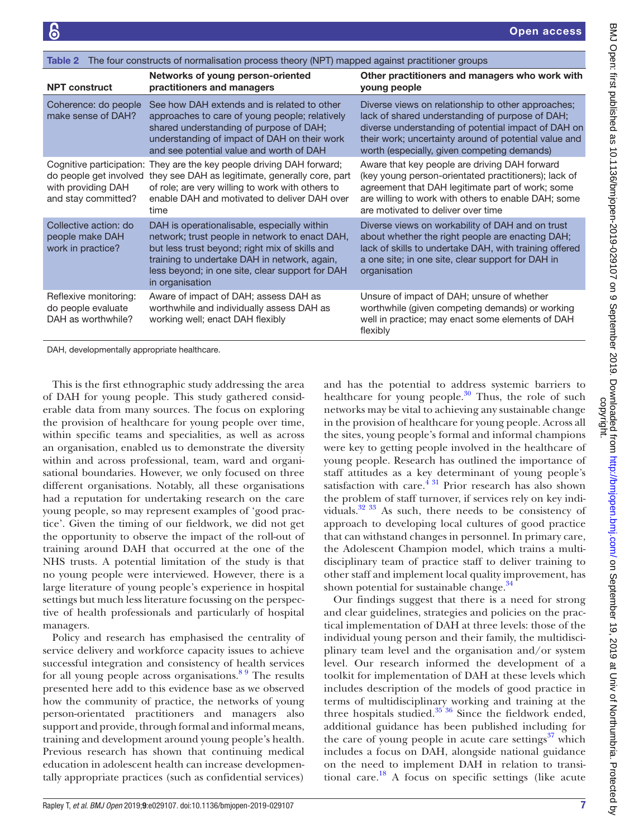<span id="page-6-0"></span>

| The four constructs of normalisation process theory (NPT) mapped against practitioner groups<br>Table 2 |                                                                                                                                                                                                                                                                       |                                                                                                                                                                                                                                                                      |  |  |  |
|---------------------------------------------------------------------------------------------------------|-----------------------------------------------------------------------------------------------------------------------------------------------------------------------------------------------------------------------------------------------------------------------|----------------------------------------------------------------------------------------------------------------------------------------------------------------------------------------------------------------------------------------------------------------------|--|--|--|
| <b>NPT</b> construct                                                                                    | Networks of young person-oriented<br>practitioners and managers                                                                                                                                                                                                       | Other practitioners and managers who work with<br>young people                                                                                                                                                                                                       |  |  |  |
| Coherence: do people<br>make sense of DAH?                                                              | See how DAH extends and is related to other<br>approaches to care of young people; relatively<br>shared understanding of purpose of DAH;<br>understanding of impact of DAH on their work<br>and see potential value and worth of DAH                                  | Diverse views on relationship to other approaches;<br>lack of shared understanding of purpose of DAH;<br>diverse understanding of potential impact of DAH on<br>their work; uncertainty around of potential value and<br>worth (especially, given competing demands) |  |  |  |
| do people get involved<br>with providing DAH<br>and stay committed?                                     | Cognitive participation: They are the key people driving DAH forward;<br>they see DAH as legitimate, generally core, part<br>of role; are very willing to work with others to<br>enable DAH and motivated to deliver DAH over<br>time                                 | Aware that key people are driving DAH forward<br>(key young person-orientated practitioners); lack of<br>agreement that DAH legitimate part of work; some<br>are willing to work with others to enable DAH; some<br>are motivated to deliver over time               |  |  |  |
| Collective action: do<br>people make DAH<br>work in practice?                                           | DAH is operationalisable, especially within<br>network; trust people in network to enact DAH,<br>but less trust beyond; right mix of skills and<br>training to undertake DAH in network, again,<br>less beyond; in one site, clear support for DAH<br>in organisation | Diverse views on workability of DAH and on trust<br>about whether the right people are enacting DAH;<br>lack of skills to undertake DAH, with training offered<br>a one site; in one site, clear support for DAH in<br>organisation                                  |  |  |  |
| Reflexive monitoring:<br>do people evaluate<br>DAH as worthwhile?                                       | Aware of impact of DAH; assess DAH as<br>worthwhile and individually assess DAH as<br>working well; enact DAH flexibly                                                                                                                                                | Unsure of impact of DAH; unsure of whether<br>worthwhile (given competing demands) or working<br>well in practice; may enact some elements of DAH<br>flexibly                                                                                                        |  |  |  |

DAH, developmentally appropriate healthcare.

This is the first ethnographic study addressing the area of DAH for young people. This study gathered considerable data from many sources. The focus on exploring the provision of healthcare for young people over time, within specific teams and specialities, as well as across an organisation, enabled us to demonstrate the diversity within and across professional, team, ward and organisational boundaries. However, we only focused on three different organisations. Notably, all these organisations had a reputation for undertaking research on the care young people, so may represent examples of 'good practice'. Given the timing of our fieldwork, we did not get the opportunity to observe the impact of the roll-out of training around DAH that occurred at the one of the NHS trusts. A potential limitation of the study is that no young people were interviewed. However, there is a large literature of young people's experience in hospital settings but much less literature focussing on the perspective of health professionals and particularly of hospital managers.

Policy and research has emphasised the centrality of service delivery and workforce capacity issues to achieve successful integration and consistency of health services for all young people across organisations.<sup>[8 9](#page-7-5)</sup> The results presented here add to this evidence base as we observed how the community of practice, the networks of young person-orientated practitioners and managers also support and provide, through formal and informal means, training and development around young people's health. Previous research has shown that continuing medical education in adolescent health can increase developmentally appropriate practices (such as confidential services)

and has the potential to address systemic barriers to healthcare for young people. $30$  Thus, the role of such networks may be vital to achieving any sustainable change in the provision of healthcare for young people. Across all the sites, young people's formal and informal champions were key to getting people involved in the healthcare of young people. Research has outlined the importance of staff attitudes as a key determinant of young people's satisfaction with care.<sup> $431$ </sup> Prior research has also shown the problem of staff turnover, if services rely on key individuals[.32 33](#page-8-8) As such, there needs to be consistency of approach to developing local cultures of good practice that can withstand changes in personnel. In primary care, the Adolescent Champion model, which trains a multidisciplinary team of practice staff to deliver training to other staff and implement local quality improvement, has shown potential for sustainable change. $34$ 

Our findings suggest that there is a need for strong and clear guidelines, strategies and policies on the practical implementation of DAH at three levels: those of the individual young person and their family, the multidisciplinary team level and the organisation and/or system level. Our research informed the development of a toolkit for implementation of DAH at these levels which includes description of the models of good practice in terms of multidisciplinary working and training at the three hospitals studied. $35/36$  Since the fieldwork ended, additional guidance has been published including for the care of young people in acute care settings $37$  which includes a focus on DAH, alongside national guidance on the need to implement DAH in relation to transitional care.<sup>18</sup> A focus on specific settings (like acute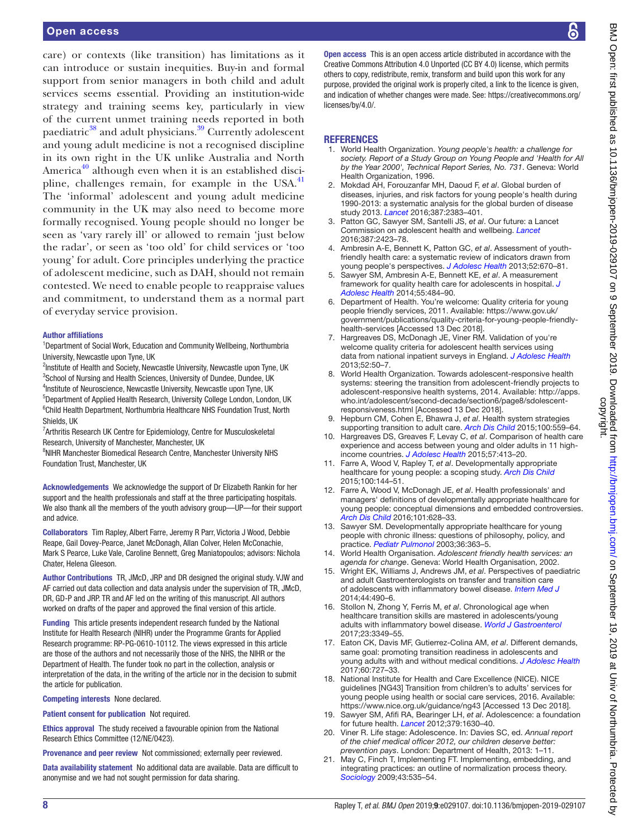care) or contexts (like transition) has limitations as it can introduce or sustain inequities. Buy-in and formal support from senior managers in both child and adult services seems essential. Providing an institution-wide strategy and training seems key, particularly in view of the current unmet training needs reported in both paediatric<sup>38</sup> and adult physicians.<sup>39</sup> Currently adolescent and young adult medicine is not a recognised discipline in its own right in the UK unlike Australia and North America<sup>[40](#page-8-14)</sup> although even when it is an established disci-pline, challenges remain, for example in the USA.<sup>[41](#page-8-15)</sup> The 'informal' adolescent and young adult medicine community in the UK may also need to become more formally recognised. Young people should no longer be seen as 'vary rarely ill' or allowed to remain 'just below the radar', or seen as 'too old' for child services or 'too young' for adult. Core principles underlying the practice of adolescent medicine, such as DAH, should not remain contested. We need to enable people to reappraise values and commitment, to understand them as a normal part of everyday service provision.

#### Author affiliations

<sup>1</sup>Department of Social Work, Education and Community Wellbeing, Northumbria University, Newcastle upon Tyne, UK

<sup>2</sup>Institute of Health and Society, Newcastle University, Newcastle upon Tyne, UK <sup>3</sup>School of Nursing and Health Sciences, University of Dundee, Dundee, UK <sup>4</sup>Institute of Neuroscience, Newcastle University, Newcastle upon Tyne, UK <sup>5</sup>Department of Applied Health Research, University College London, London, UK <sup>6</sup>Child Health Department, Northumbria Healthcare NHS Foundation Trust, North Shields, UK

<sup>7</sup> Arthritis Research UK Centre for Epidemiology, Centre for Musculoskeletal Research, University of Manchester, Manchester, UK

<sup>8</sup>NIHR Manchester Biomedical Research Centre, Manchester University NHS Foundation Trust, Manchester, UK

Acknowledgements We acknowledge the support of Dr Elizabeth Rankin for her support and the health professionals and staff at the three participating hospitals. We also thank all the members of the youth advisory group—UP—for their support and advice.

Collaborators Tim Rapley, Albert Farre, Jeremy R Parr, Victoria J Wood, Debbie Reape, Gail Dovey-Pearce, Janet McDonagh, Allan Colver, Helen McConachie, Mark S Pearce, Luke Vale, Caroline Bennett, Greg Maniatopoulos; advisors: Nichola Chater, Helena Gleeson.

Author Contributions TR, JMcD, JRP and DR designed the original study. VJW and AF carried out data collection and data analysis under the supervision of TR, JMcD, DR, GD-P and JRP. TR and AF led on the writing of this manuscript. All authors worked on drafts of the paper and approved the final version of this article.

Funding This article presents independent research funded by the National Institute for Health Research (NIHR) under the Programme Grants for Applied Research programme: RP-PG-0610-10112. The views expressed in this article are those of the authors and not necessarily those of the NHS, the NIHR or the Department of Health. The funder took no part in the collection, analysis or interpretation of the data, in the writing of the article nor in the decision to submit the article for publication.

Competing interests None declared.

Patient consent for publication Not required.

Ethics approval The study received a favourable opinion from the National Research Ethics Committee (12/NE/0423).

Provenance and peer review Not commissioned; externally peer reviewed.

Data availability statement No additional data are available. Data are difficult to anonymise and we had not sought permission for data sharing.

**Open access** This is an open access article distributed in accordance with the Creative Commons Attribution 4.0 Unported (CC BY 4.0) license, which permits others to copy, redistribute, remix, transform and build upon this work for any purpose, provided the original work is properly cited, a link to the licence is given, and indication of whether changes were made. See: [https://creativecommons.org/](https://creativecommons.org/licenses/by/4.0/) [licenses/by/4.0/](https://creativecommons.org/licenses/by/4.0/).

#### **REFERENCES**

- <span id="page-7-0"></span>1. World Health Organization. *Young people's health: a challenge for society. Report of a Study Group on Young People and 'Health for All by the Year 2000', Technical Report Series, No. 731*. Geneva: World Health Organization, 1996.
- <span id="page-7-1"></span>2. Mokdad AH, Forouzanfar MH, Daoud F, *et al*. Global burden of diseases, injuries, and risk factors for young people's health during 1990-2013: a systematic analysis for the global burden of disease study 2013. *[Lancet](http://dx.doi.org/10.1016/S0140-6736(16)00648-6)* 2016;387:2383–401.
- <span id="page-7-2"></span>3. Patton GC, Sawyer SM, Santelli JS, *et al*. Our future: a Lancet Commission on adolescent health and wellbeing. *[Lancet](http://dx.doi.org/10.1016/S0140-6736(16)00579-1)* 2016;387:2423–78.
- <span id="page-7-3"></span>4. Ambresin A-E, Bennett K, Patton GC, *et al*. Assessment of youthfriendly health care: a systematic review of indicators drawn from young people's perspectives. *[J Adolesc Health](http://dx.doi.org/10.1016/j.jadohealth.2012.12.014)* 2013;52:670–81.
- <span id="page-7-4"></span>5. Sawyer SM, Ambresin A-E, Bennett KE, *et al*. A measurement framework for quality health care for adolescents in hospital. *[J](http://dx.doi.org/10.1016/j.jadohealth.2014.01.023)  [Adolesc Health](http://dx.doi.org/10.1016/j.jadohealth.2014.01.023)* 2014;55:484–90.
- <span id="page-7-14"></span>Department of Health. You're welcome: Quality criteria for young people friendly services, 2011. Available: [https://www.gov.uk/](https://www.gov.uk/government/publications/quality-criteria-for-young-people-friendly-health-services) [government/publications/quality-criteria-for-young-people-friendly](https://www.gov.uk/government/publications/quality-criteria-for-young-people-friendly-health-services)[health-services](https://www.gov.uk/government/publications/quality-criteria-for-young-people-friendly-health-services) [Accessed 13 Dec 2018].
- 7. Hargreaves DS, McDonagh JE, Viner RM. Validation of you're welcome quality criteria for adolescent health services using data from national inpatient surveys in England. *[J Adolesc Health](http://dx.doi.org/10.1016/j.jadohealth.2012.04.005)* 2013;52:50–7.
- <span id="page-7-5"></span>World Health Organization. Towards adolescent-responsive health systems: steering the transition from adolescent-friendly projects to adolescent-responsive health systems, 2014. Available: [http://apps.](http://apps.who.int/adolescent/second-decade/section6/page8/sdolescent-responsiveness.html) [who.int/adolescent/second-decade/section6/page8/sdolescent](http://apps.who.int/adolescent/second-decade/section6/page8/sdolescent-responsiveness.html)[responsiveness.html](http://apps.who.int/adolescent/second-decade/section6/page8/sdolescent-responsiveness.html) [Accessed 13 Dec 2018].
- <span id="page-7-6"></span>9. Hepburn CM, Cohen E, Bhawra J, *et al*. Health system strategies supporting transition to adult care. *[Arch Dis Child](http://dx.doi.org/10.1136/archdischild-2014-307320)* 2015;100:559–64.
- 10. Hargreaves DS, Greaves F, Levay C, *et al*. Comparison of health care experience and access between young and older adults in 11 highincome countries. *[J Adolesc Health](http://dx.doi.org/10.1016/j.jadohealth.2015.05.015)* 2015;57:413–20.
- <span id="page-7-7"></span>11. Farre A, Wood V, Rapley T, *et al*. Developmentally appropriate healthcare for young people: a scoping study. *[Arch Dis Child](http://dx.doi.org/10.1136/archdischild-2014-306749)* 2015;100:144–51.
- <span id="page-7-12"></span>12. Farre A, Wood V, McDonagh JE, *et al*. Health professionals' and managers' definitions of developmentally appropriate healthcare for young people: conceptual dimensions and embedded controversies. *[Arch Dis Child](http://dx.doi.org/10.1136/archdischild-2015-309473)* 2016;101:628–33.
- 13. Sawyer SM. Developmentally appropriate healthcare for young people with chronic illness: questions of philosophy, policy, and practice. *[Pediatr Pulmonol](http://dx.doi.org/10.1002/ppul.10369)* 2003;36:363–5.
- <span id="page-7-8"></span>14. World Health Organisation. *Adolescent friendly health services: an agenda for change*. Geneva: World Health Organisation, 2002.
- <span id="page-7-9"></span>15. Wright EK, Williams J, Andrews JM, *et al*. Perspectives of paediatric and adult Gastroenterologists on transfer and transition care of adolescents with inflammatory bowel disease. *[Intern Med J](http://dx.doi.org/10.1111/imj.12402)* 2014;44:490–6.
- <span id="page-7-10"></span>16. Stollon N, Zhong Y, Ferris M, *et al*. Chronological age when healthcare transition skills are mastered in adolescents/young adults with inflammatory bowel disease. *[World J Gastroenterol](http://dx.doi.org/10.3748/wjg.v23.i18.3349)* 2017;23:3349–55.
- 17. Eaton CK, Davis MF, Gutierrez-Colina AM, *et al*. Different demands, same goal: promoting transition readiness in adolescents and young adults with and without medical conditions. *[J Adolesc Health](http://dx.doi.org/10.1016/j.jadohealth.2017.01.002)* 2017;60:727–33.
- <span id="page-7-15"></span>18. National Institute for Health and Care Excellence (NICE). NICE guidelines [NG43] Transition from children's to adults' services for young people using health or social care services, 2016. Available: <https://www.nice.org.uk/guidance/ng43> [Accessed 13 Dec 2018].
- <span id="page-7-11"></span>19. Sawyer SM, Afifi RA, Bearinger LH, *et al*. Adolescence: a foundation for future health. *[Lancet](http://dx.doi.org/10.1016/S0140-6736(12)60072-5)* 2012;379:1630–40.
- 20. Viner R. Life stage: Adolescence. In: Davies SC, ed. *Annual report of the chief medical officer 2012, our children deserve better: prevention pays*. London: Department of Health, 2013: 1–11.
- <span id="page-7-13"></span>21. May C, Finch T, Implementing FT. Implementing, embedding, and integrating practices: an outline of normalization process theory. *[Sociology](http://dx.doi.org/10.1177/0038038509103208)* 2009;43:535–54.